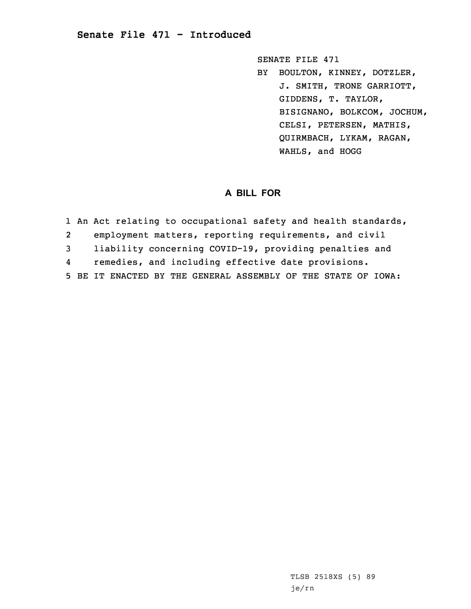## **Senate File 471 - Introduced**

SENATE FILE 471 BY BOULTON, KINNEY, DOTZLER, J. SMITH, TRONE GARRIOTT, GIDDENS, T. TAYLOR, BISIGNANO, BOLKCOM, JOCHUM, CELSI, PETERSEN, MATHIS, QUIRMBACH, LYKAM, RAGAN, WAHLS, and HOGG

## **A BILL FOR**

1 An Act relating to occupational safety and health standards, 2 employment matters, reporting requirements, and civil 3 liability concerning COVID-19, providing penalties and 4 remedies, and including effective date provisions. 5 BE IT ENACTED BY THE GENERAL ASSEMBLY OF THE STATE OF IOWA:

> TLSB 2518XS (5) 89 je/rn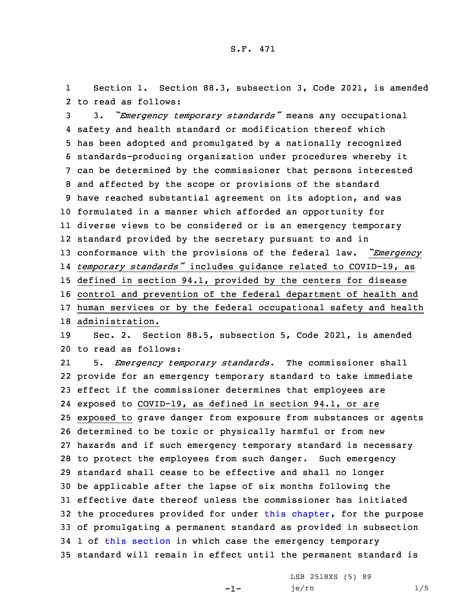1 Section 1. Section 88.3, subsection 3, Code 2021, is amended 2 to read as follows:

 3. *"Emergency temporary standards"* means any occupational safety and health standard or modification thereof which has been adopted and promulgated by <sup>a</sup> nationally recognized standards-producing organization under procedures whereby it can be determined by the commissioner that persons interested and affected by the scope or provisions of the standard have reached substantial agreement on its adoption, and was formulated in <sup>a</sup> manner which afforded an opportunity for diverse views to be considered or is an emergency temporary standard provided by the secretary pursuant to and in conformance with the provisions of the federal law. *"Emergency temporary standards"* includes guidance related to COVID-19, as defined in section 94.1, provided by the centers for disease control and prevention of the federal department of health and human services or by the federal occupational safety and health administration. Sec. 2. Section 88.5, subsection 5, Code 2021, is amended to read as follows: 21 5. *Emergency temporary standards.* The commissioner shall provide for an emergency temporary standard to take immediate effect if the commissioner determines that employees are exposed to COVID-19, as defined in section 94.1, or are exposed to grave danger from exposure from substances or agents determined to be toxic or physically harmful or from new hazards and if such emergency temporary standard is necessary to protect the employees from such danger. Such emergency standard shall cease to be effective and shall no longer

 effective date thereof unless the commissioner has initiated the procedures provided for under this [chapter](https://www.legis.iowa.gov/docs/code/2021/88.pdf), for the purpose of promulgating <sup>a</sup> permanent standard as provided in subsection 1 of this [section](https://www.legis.iowa.gov/docs/code/2021/88.5.pdf) in which case the emergency temporary standard will remain in effect until the permanent standard is

-1-

30 be applicable after the lapse of six months following the

LSB 2518XS (5) 89 je/rn 1/5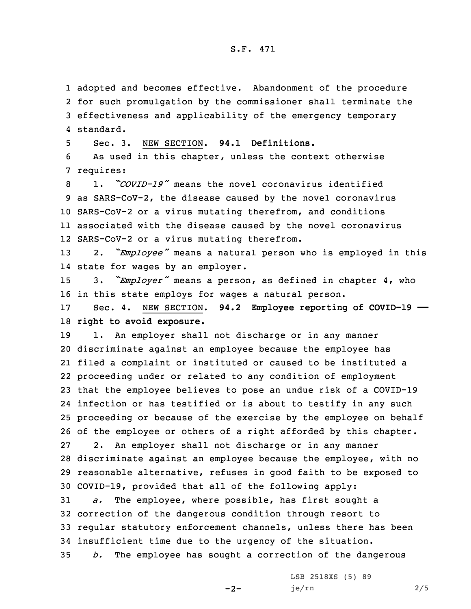## S.F. 471

 adopted and becomes effective. Abandonment of the procedure for such promulgation by the commissioner shall terminate the effectiveness and applicability of the emergency temporary standard.

5 Sec. 3. NEW SECTION. **94.1 Definitions.**

6 As used in this chapter, unless the context otherwise 7 requires:

 1. *"COVID-19"* means the novel coronavirus identified as SARS-CoV-2, the disease caused by the novel coronavirus SARS-CoV-2 or <sup>a</sup> virus mutating therefrom, and conditions associated with the disease caused by the novel coronavirus SARS-CoV-2 or <sup>a</sup> virus mutating therefrom.

<sup>13</sup> 2. *"Employee"* means <sup>a</sup> natural person who is employed in this 14 state for wages by an employer.

<sup>15</sup> 3. *"Employer"* means <sup>a</sup> person, as defined in chapter 4, who 16 in this state employs for wages <sup>a</sup> natural person.

17 Sec. 4. NEW SECTION. **94.2 Employee reporting of COVID-19 ——** 18 **right to avoid exposure.**

19 1. An employer shall not discharge or in any manner discriminate against an employee because the employee has filed <sup>a</sup> complaint or instituted or caused to be instituted <sup>a</sup> proceeding under or related to any condition of employment that the employee believes to pose an undue risk of <sup>a</sup> COVID-19 infection or has testified or is about to testify in any such proceeding or because of the exercise by the employee on behalf of the employee or others of <sup>a</sup> right afforded by this chapter. 2. An employer shall not discharge or in any manner discriminate against an employee because the employee, with no reasonable alternative, refuses in good faith to be exposed to COVID-19, provided that all of the following apply:

 *a.* The employee, where possible, has first sought <sup>a</sup> correction of the dangerous condition through resort to regular statutory enforcement channels, unless there has been insufficient time due to the urgency of the situation. *b.* The employee has sought <sup>a</sup> correction of the dangerous

 $-2-$ 

LSB 2518XS (5) 89 je/rn 2/5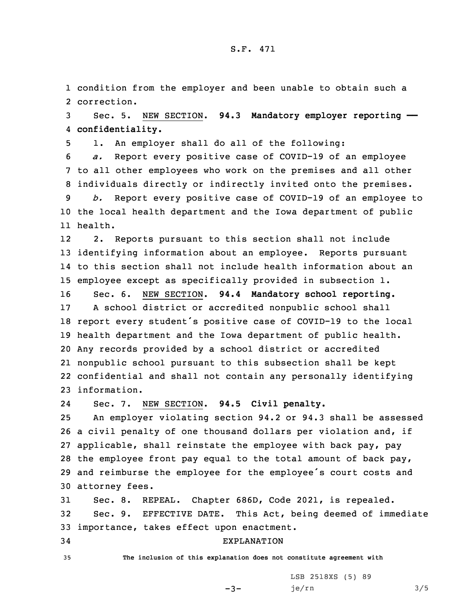1 condition from the employer and been unable to obtain such <sup>a</sup> 2 correction.

3 Sec. 5. NEW SECTION. **94.3 Mandatory employer reporting ——** 4 **confidentiality.**

5 1. An employer shall do all of the following:

6 *a.* Report every positive case of COVID-19 of an employee 7 to all other employees who work on the premises and all other 8 individuals directly or indirectly invited onto the premises.

9 *b.* Report every positive case of COVID-19 of an employee to 10 the local health department and the Iowa department of public 11 health.

12 2. Reports pursuant to this section shall not include 13 identifying information about an employee. Reports pursuant 14 to this section shall not include health information about an 15 employee except as specifically provided in subsection 1.

 Sec. 6. NEW SECTION. **94.4 Mandatory school reporting.** <sup>A</sup> school district or accredited nonpublic school shall report every student's positive case of COVID-19 to the local health department and the Iowa department of public health. Any records provided by <sup>a</sup> school district or accredited nonpublic school pursuant to this subsection shall be kept confidential and shall not contain any personally identifying information.

24Sec. 7. NEW SECTION. **94.5 Civil penalty.**

 An employer violating section 94.2 or 94.3 shall be assessed <sup>a</sup> civil penalty of one thousand dollars per violation and, if applicable, shall reinstate the employee with back pay, pay the employee front pay equal to the total amount of back pay, and reimburse the employee for the employee's court costs and attorney fees.

31 Sec. 8. REPEAL. Chapter 686D, Code 2021, is repealed. 32 Sec. 9. EFFECTIVE DATE. This Act, being deemed of immediate 33 importance, takes effect upon enactment.

## 34 EXPLANATION

35 **The inclusion of this explanation does not constitute agreement with**

 $-3-$ 

LSB 2518XS (5) 89 je/rn 3/5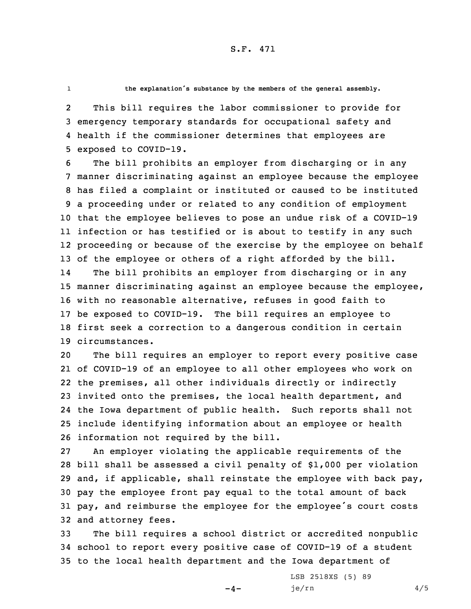1

**the explanation's substance by the members of the general assembly.**

2 This bill requires the labor commissioner to provide for 3 emergency temporary standards for occupational safety and 4 health if the commissioner determines that employees are 5 exposed to COVID-19.

 The bill prohibits an employer from discharging or in any manner discriminating against an employee because the employee has filed <sup>a</sup> complaint or instituted or caused to be instituted <sup>a</sup> proceeding under or related to any condition of employment that the employee believes to pose an undue risk of <sup>a</sup> COVID-19 infection or has testified or is about to testify in any such proceeding or because of the exercise by the employee on behalf of the employee or others of <sup>a</sup> right afforded by the bill. 14 The bill prohibits an employer from discharging or in any manner discriminating against an employee because the employee, with no reasonable alternative, refuses in good faith to be exposed to COVID-19. The bill requires an employee to first seek <sup>a</sup> correction to <sup>a</sup> dangerous condition in certain circumstances.

 The bill requires an employer to report every positive case of COVID-19 of an employee to all other employees who work on the premises, all other individuals directly or indirectly invited onto the premises, the local health department, and the Iowa department of public health. Such reports shall not include identifying information about an employee or health information not required by the bill.

 An employer violating the applicable requirements of the bill shall be assessed <sup>a</sup> civil penalty of \$1,000 per violation and, if applicable, shall reinstate the employee with back pay, pay the employee front pay equal to the total amount of back pay, and reimburse the employee for the employee's court costs and attorney fees.

33 The bill requires <sup>a</sup> school district or accredited nonpublic 34 school to report every positive case of COVID-19 of <sup>a</sup> student 35 to the local health department and the Iowa department of

 $-4-$ 

LSB 2518XS (5) 89 je/rn 4/5